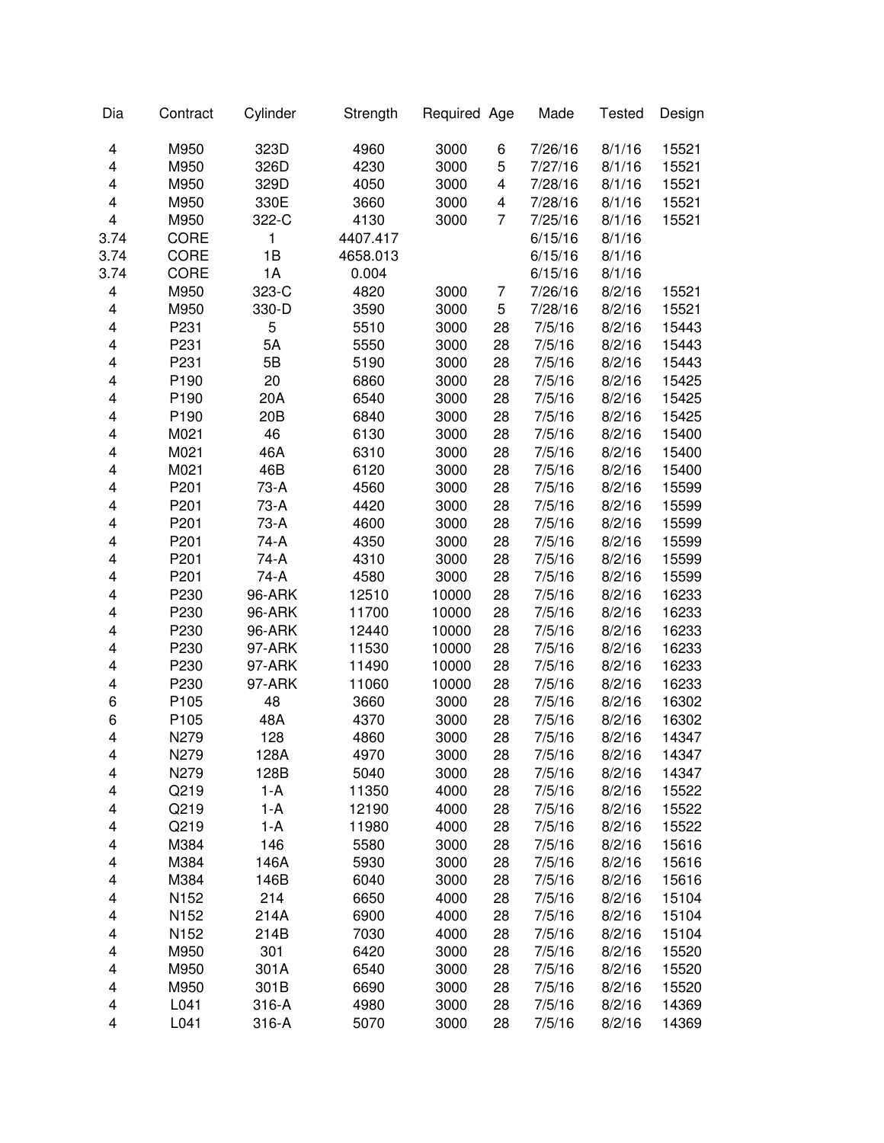| Dia                     | Contract         | Cylinder | Strength | Required Age |    | Made    | <b>Tested</b> | Design |
|-------------------------|------------------|----------|----------|--------------|----|---------|---------------|--------|
| 4                       | M950             | 323D     | 4960     | 3000         | 6  | 7/26/16 | 8/1/16        | 15521  |
| 4                       | M950             | 326D     | 4230     | 3000         | 5  | 7/27/16 | 8/1/16        | 15521  |
| $\overline{\mathbf{4}}$ | M950             | 329D     | 4050     | 3000         | 4  | 7/28/16 | 8/1/16        | 15521  |
| 4                       | M950             | 330E     | 3660     | 3000         | 4  | 7/28/16 | 8/1/16        | 15521  |
| $\overline{\mathbf{4}}$ | M950             | 322-C    | 4130     | 3000         | 7  | 7/25/16 | 8/1/16        | 15521  |
| 3.74                    | CORE             | 1        | 4407.417 |              |    | 6/15/16 | 8/1/16        |        |
| 3.74                    | CORE             | 1B       | 4658.013 |              |    | 6/15/16 | 8/1/16        |        |
| 3.74                    | CORE             | 1A       | 0.004    |              |    | 6/15/16 | 8/1/16        |        |
| $\overline{\mathbf{4}}$ | M950             | 323-C    | 4820     | 3000         | 7  | 7/26/16 | 8/2/16        | 15521  |
| 4                       | M950             | 330-D    | 3590     | 3000         | 5  | 7/28/16 | 8/2/16        | 15521  |
| 4                       | P231             | 5        | 5510     | 3000         | 28 | 7/5/16  | 8/2/16        | 15443  |
| 4                       | P231             | 5A       | 5550     | 3000         | 28 | 7/5/16  | 8/2/16        | 15443  |
| 4                       | P231             | 5B       | 5190     | 3000         | 28 | 7/5/16  | 8/2/16        | 15443  |
| 4                       | P <sub>190</sub> | 20       | 6860     | 3000         | 28 | 7/5/16  | 8/2/16        | 15425  |
| 4                       | P <sub>190</sub> | 20A      | 6540     | 3000         | 28 | 7/5/16  | 8/2/16        | 15425  |
| 4                       | P190             | 20B      | 6840     | 3000         | 28 | 7/5/16  | 8/2/16        | 15425  |
| 4                       | M021             | 46       | 6130     | 3000         | 28 | 7/5/16  | 8/2/16        | 15400  |
| 4                       | M021             | 46A      | 6310     | 3000         | 28 | 7/5/16  | 8/2/16        | 15400  |
| 4                       | M021             | 46B      | 6120     | 3000         | 28 | 7/5/16  | 8/2/16        | 15400  |
| 4                       | P201             | 73-A     | 4560     | 3000         | 28 | 7/5/16  | 8/2/16        | 15599  |
| 4                       | P201             | 73-A     | 4420     | 3000         | 28 | 7/5/16  | 8/2/16        | 15599  |
| 4                       | P201             | 73-A     | 4600     | 3000         | 28 | 7/5/16  | 8/2/16        | 15599  |
| 4                       | P201             | 74-A     | 4350     | 3000         | 28 | 7/5/16  | 8/2/16        | 15599  |
| 4                       | P201             | 74-A     | 4310     | 3000         | 28 | 7/5/16  | 8/2/16        | 15599  |
| 4                       | P201             | 74-A     | 4580     | 3000         | 28 | 7/5/16  | 8/2/16        | 15599  |
| 4                       | P230             | 96-ARK   | 12510    | 10000        | 28 | 7/5/16  | 8/2/16        | 16233  |
| 4                       | P230             | 96-ARK   | 11700    | 10000        | 28 | 7/5/16  | 8/2/16        | 16233  |
| 4                       | P230             | 96-ARK   | 12440    | 10000        | 28 | 7/5/16  | 8/2/16        | 16233  |
| 4                       | P230             | 97-ARK   | 11530    | 10000        | 28 | 7/5/16  | 8/2/16        | 16233  |
| 4                       | P230             | 97-ARK   | 11490    | 10000        | 28 | 7/5/16  | 8/2/16        | 16233  |
| 4                       | P230             | 97-ARK   | 11060    | 10000        | 28 | 7/5/16  | 8/2/16        | 16233  |
| 6                       | P105             | 48       | 3660     | 3000         | 28 | 7/5/16  | 8/2/16        | 16302  |
| 6                       | P105             | 48A      | 4370     | 3000         | 28 | 7/5/16  | 8/2/16        | 16302  |
| $\overline{\mathbf{4}}$ | N279             | 128      | 4860     | 3000         | 28 | 7/5/16  | 8/2/16        | 14347  |
| 4                       | N279             | 128A     | 4970     | 3000         | 28 | 7/5/16  | 8/2/16        | 14347  |
| 4                       | N279             | 128B     | 5040     | 3000         | 28 | 7/5/16  | 8/2/16        | 14347  |
| 4                       | Q219             | 1-A      | 11350    | 4000         | 28 | 7/5/16  | 8/2/16        | 15522  |
| 4                       | Q219             | $1-A$    | 12190    | 4000         | 28 | 7/5/16  | 8/2/16        | 15522  |
| 4                       | Q219             | 1-A      | 11980    | 4000         | 28 | 7/5/16  | 8/2/16        | 15522  |
| 4                       | M384             | 146      | 5580     | 3000         | 28 | 7/5/16  | 8/2/16        | 15616  |
| 4                       | M384             | 146A     | 5930     | 3000         | 28 | 7/5/16  | 8/2/16        | 15616  |
| 4                       | M384             | 146B     | 6040     | 3000         | 28 | 7/5/16  | 8/2/16        | 15616  |
| 4                       | N152             | 214      | 6650     | 4000         | 28 | 7/5/16  | 8/2/16        | 15104  |
| 4                       | N152             | 214A     | 6900     | 4000         | 28 | 7/5/16  | 8/2/16        | 15104  |
| 4                       | N152             | 214B     | 7030     | 4000         | 28 | 7/5/16  | 8/2/16        | 15104  |
| 4                       | M950             | 301      | 6420     | 3000         | 28 | 7/5/16  | 8/2/16        | 15520  |
| 4                       | M950             | 301A     | 6540     | 3000         | 28 | 7/5/16  | 8/2/16        | 15520  |
| 4                       | M950             | 301B     | 6690     | 3000         | 28 | 7/5/16  | 8/2/16        | 15520  |
| 4                       | L041             | 316-A    | 4980     | 3000         | 28 | 7/5/16  | 8/2/16        | 14369  |
| 4                       | L041             | 316-A    | 5070     | 3000         | 28 | 7/5/16  | 8/2/16        | 14369  |
|                         |                  |          |          |              |    |         |               |        |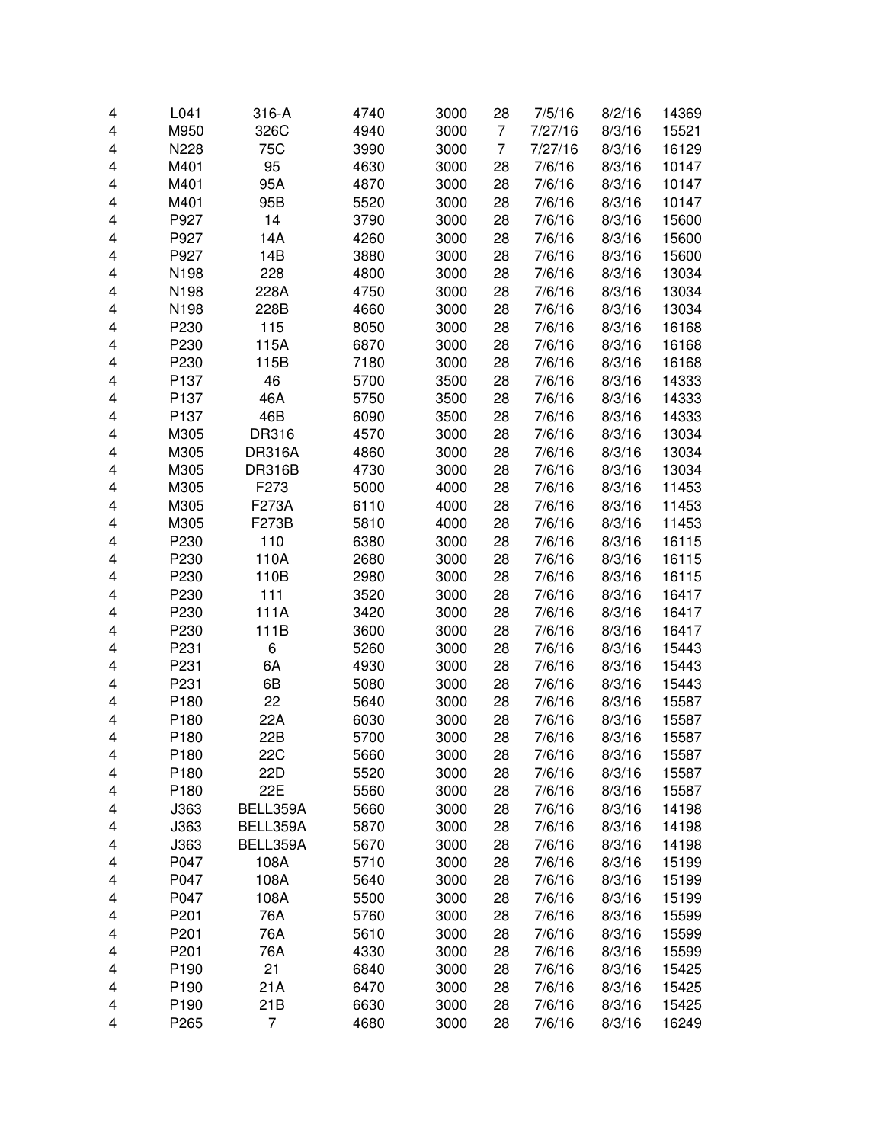| 4 | L041             | 316-A         | 4740 | 3000 | 28             | 7/5/16  | 8/2/16 | 14369 |
|---|------------------|---------------|------|------|----------------|---------|--------|-------|
| 4 | M950             | 326C          | 4940 | 3000 | $\overline{7}$ | 7/27/16 | 8/3/16 | 15521 |
| 4 | N228             | 75C           | 3990 | 3000 | $\overline{7}$ | 7/27/16 | 8/3/16 | 16129 |
| 4 | M401             | 95            | 4630 | 3000 | 28             | 7/6/16  | 8/3/16 | 10147 |
| 4 | M401             | 95A           | 4870 | 3000 | 28             | 7/6/16  | 8/3/16 | 10147 |
| 4 | M401             | 95B           | 5520 | 3000 | 28             | 7/6/16  | 8/3/16 | 10147 |
| 4 | P927             | 14            | 3790 | 3000 | 28             | 7/6/16  | 8/3/16 | 15600 |
| 4 | P927             | 14A           | 4260 | 3000 | 28             | 7/6/16  | 8/3/16 | 15600 |
| 4 | P927             | 14B           | 3880 | 3000 | 28             | 7/6/16  | 8/3/16 | 15600 |
| 4 | N198             | 228           | 4800 | 3000 | 28             | 7/6/16  | 8/3/16 | 13034 |
| 4 | N198             | 228A          | 4750 | 3000 | 28             | 7/6/16  | 8/3/16 | 13034 |
| 4 | N198             | 228B          | 4660 | 3000 | 28             | 7/6/16  | 8/3/16 | 13034 |
| 4 | P230             | 115           | 8050 | 3000 | 28             | 7/6/16  | 8/3/16 | 16168 |
| 4 | P230             | 115A          | 6870 | 3000 | 28             | 7/6/16  | 8/3/16 | 16168 |
| 4 | P230             | 115B          | 7180 | 3000 | 28             | 7/6/16  | 8/3/16 | 16168 |
| 4 | P137             | 46            | 5700 | 3500 | 28             | 7/6/16  | 8/3/16 | 14333 |
| 4 | P137             | 46A           | 5750 | 3500 | 28             | 7/6/16  | 8/3/16 | 14333 |
| 4 | P137             | 46B           | 6090 | 3500 | 28             | 7/6/16  | 8/3/16 | 14333 |
| 4 | M305             | DR316         | 4570 | 3000 | 28             | 7/6/16  | 8/3/16 | 13034 |
| 4 | M305             | <b>DR316A</b> | 4860 | 3000 | 28             | 7/6/16  | 8/3/16 | 13034 |
| 4 | M305             | <b>DR316B</b> | 4730 | 3000 | 28             | 7/6/16  | 8/3/16 | 13034 |
| 4 | M305             | F273          | 5000 | 4000 | 28             | 7/6/16  | 8/3/16 | 11453 |
| 4 | M305             | F273A         | 6110 | 4000 | 28             | 7/6/16  | 8/3/16 | 11453 |
| 4 | M305             | F273B         | 5810 | 4000 | 28             | 7/6/16  | 8/3/16 | 11453 |
| 4 | P230             | 110           | 6380 | 3000 | 28             | 7/6/16  | 8/3/16 | 16115 |
| 4 | P230             | 110A          | 2680 | 3000 | 28             | 7/6/16  | 8/3/16 | 16115 |
| 4 | P230             | 110B          | 2980 | 3000 | 28             | 7/6/16  | 8/3/16 | 16115 |
| 4 | P230             | 111           | 3520 | 3000 | 28             | 7/6/16  | 8/3/16 | 16417 |
| 4 | P230             | 111A          | 3420 | 3000 | 28             | 7/6/16  | 8/3/16 | 16417 |
| 4 | P230             | 111B          | 3600 | 3000 | 28             | 7/6/16  | 8/3/16 | 16417 |
| 4 | P231             | 6             | 5260 | 3000 | 28             | 7/6/16  | 8/3/16 | 15443 |
| 4 | P231             | 6A            | 4930 | 3000 | 28             | 7/6/16  | 8/3/16 | 15443 |
| 4 | P231             | 6B            | 5080 | 3000 | 28             | 7/6/16  | 8/3/16 | 15443 |
| 4 | P180             | 22            | 5640 | 3000 | 28             | 7/6/16  | 8/3/16 | 15587 |
| 4 | P180             | 22A           | 6030 | 3000 | 28             | 7/6/16  | 8/3/16 | 15587 |
| 4 | P <sub>180</sub> | 22B           | 5700 | 3000 | 28             | 7/6/16  | 8/3/16 | 15587 |
| 4 | P <sub>180</sub> | 22C           | 5660 | 3000 | 28             | 7/6/16  | 8/3/16 | 15587 |
| 4 | P180             | 22D           | 5520 | 3000 | 28             | 7/6/16  | 8/3/16 | 15587 |
| 4 | P180             | 22E           | 5560 | 3000 | 28             | 7/6/16  | 8/3/16 | 15587 |
| 4 | J363             | BELL359A      | 5660 | 3000 | 28             | 7/6/16  | 8/3/16 | 14198 |
| 4 | J363             | BELL359A      | 5870 | 3000 | 28             | 7/6/16  | 8/3/16 | 14198 |
| 4 | J363             | BELL359A      | 5670 | 3000 | 28             | 7/6/16  | 8/3/16 | 14198 |
| 4 | P047             | 108A          | 5710 | 3000 | 28             | 7/6/16  | 8/3/16 | 15199 |
| 4 | P047             | 108A          | 5640 | 3000 | 28             | 7/6/16  | 8/3/16 | 15199 |
| 4 | P047             | 108A          | 5500 | 3000 | 28             | 7/6/16  | 8/3/16 | 15199 |
| 4 | P201             | 76A           | 5760 | 3000 | 28             | 7/6/16  | 8/3/16 | 15599 |
| 4 | P201             | 76A           | 5610 | 3000 | 28             | 7/6/16  | 8/3/16 | 15599 |
| 4 | P201             | 76A           | 4330 | 3000 | 28             | 7/6/16  | 8/3/16 | 15599 |
| 4 | P190             | 21            | 6840 | 3000 | 28             | 7/6/16  | 8/3/16 | 15425 |
| 4 | P190             | 21A           | 6470 | 3000 | 28             | 7/6/16  | 8/3/16 | 15425 |
| 4 | P190             | 21B           | 6630 | 3000 | 28             | 7/6/16  | 8/3/16 | 15425 |
| 4 | P265             | 7             | 4680 | 3000 | 28             | 7/6/16  | 8/3/16 | 16249 |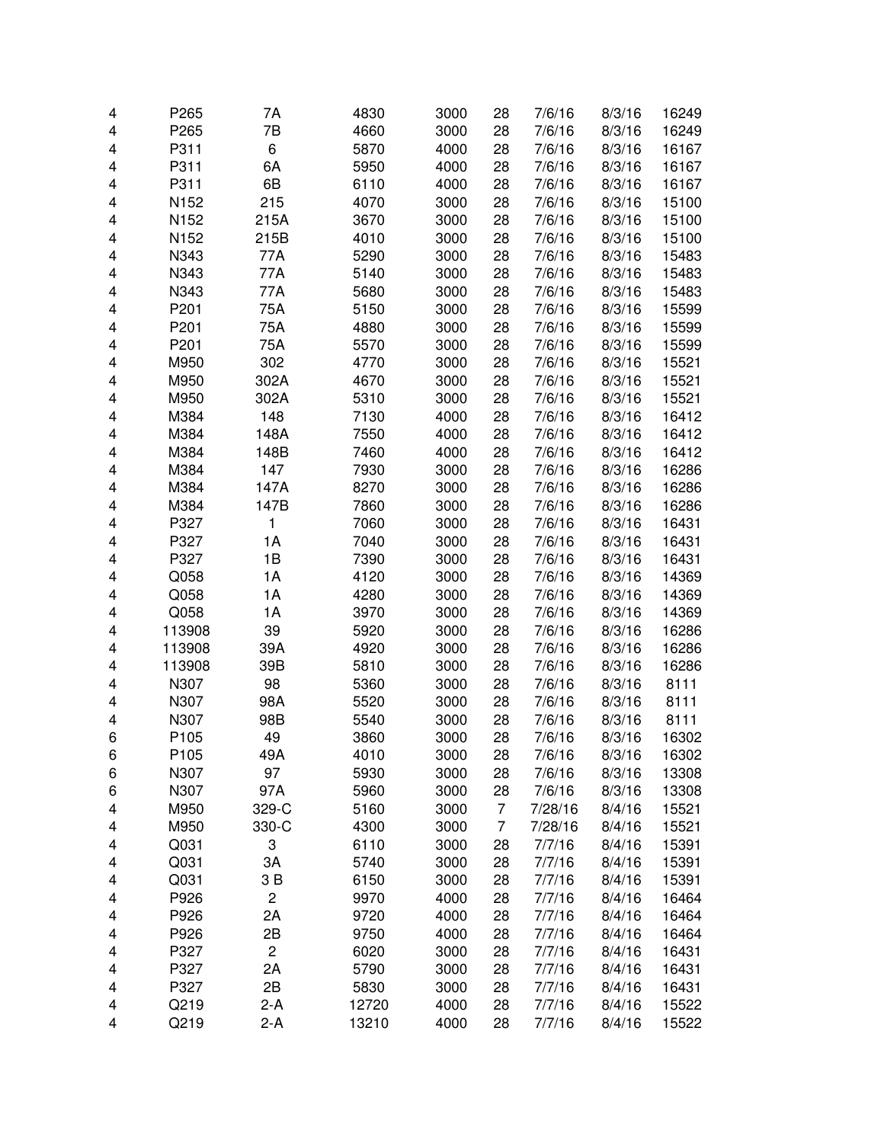| 4 | P265             | 7A                      | 4830  | 3000 | 28             | 7/6/16  | 8/3/16 | 16249 |
|---|------------------|-------------------------|-------|------|----------------|---------|--------|-------|
| 4 | P265             | 7B                      | 4660  | 3000 | 28             | 7/6/16  | 8/3/16 | 16249 |
| 4 | P311             | 6                       | 5870  | 4000 | 28             | 7/6/16  | 8/3/16 | 16167 |
| 4 | P311             | 6A                      | 5950  | 4000 | 28             | 7/6/16  | 8/3/16 | 16167 |
| 4 | P311             | 6B                      | 6110  | 4000 | 28             | 7/6/16  | 8/3/16 | 16167 |
| 4 | N <sub>152</sub> | 215                     | 4070  | 3000 | 28             | 7/6/16  | 8/3/16 | 15100 |
| 4 | N <sub>152</sub> | 215A                    | 3670  | 3000 | 28             | 7/6/16  | 8/3/16 | 15100 |
| 4 | N <sub>152</sub> | 215B                    | 4010  | 3000 | 28             | 7/6/16  | 8/3/16 | 15100 |
| 4 | N343             | 77A                     | 5290  | 3000 | 28             | 7/6/16  | 8/3/16 | 15483 |
| 4 | N343             | 77A                     | 5140  | 3000 | 28             | 7/6/16  | 8/3/16 | 15483 |
| 4 | N343             | 77A                     | 5680  | 3000 | 28             | 7/6/16  | 8/3/16 | 15483 |
| 4 | P201             | 75A                     | 5150  | 3000 | 28             | 7/6/16  | 8/3/16 | 15599 |
| 4 | P201             | 75A                     | 4880  | 3000 | 28             | 7/6/16  | 8/3/16 | 15599 |
| 4 | P201             | 75A                     | 5570  | 3000 | 28             | 7/6/16  | 8/3/16 | 15599 |
| 4 | M950             | 302                     | 4770  | 3000 | 28             | 7/6/16  | 8/3/16 | 15521 |
| 4 | M950             | 302A                    | 4670  | 3000 | 28             | 7/6/16  | 8/3/16 | 15521 |
|   | M950             |                         | 5310  |      | 28             |         | 8/3/16 | 15521 |
| 4 | M384             | 302A                    |       | 3000 |                | 7/6/16  |        |       |
| 4 |                  | 148                     | 7130  | 4000 | 28             | 7/6/16  | 8/3/16 | 16412 |
| 4 | M384             | 148A                    | 7550  | 4000 | 28             | 7/6/16  | 8/3/16 | 16412 |
| 4 | M384             | 148B                    | 7460  | 4000 | 28             | 7/6/16  | 8/3/16 | 16412 |
| 4 | M384             | 147                     | 7930  | 3000 | 28             | 7/6/16  | 8/3/16 | 16286 |
| 4 | M384             | 147A                    | 8270  | 3000 | 28             | 7/6/16  | 8/3/16 | 16286 |
| 4 | M384             | 147B                    | 7860  | 3000 | 28             | 7/6/16  | 8/3/16 | 16286 |
| 4 | P327             | 1                       | 7060  | 3000 | 28             | 7/6/16  | 8/3/16 | 16431 |
| 4 | P327             | 1A                      | 7040  | 3000 | 28             | 7/6/16  | 8/3/16 | 16431 |
| 4 | P327             | 1B                      | 7390  | 3000 | 28             | 7/6/16  | 8/3/16 | 16431 |
| 4 | Q058             | 1A                      | 4120  | 3000 | 28             | 7/6/16  | 8/3/16 | 14369 |
| 4 | Q058             | 1A                      | 4280  | 3000 | 28             | 7/6/16  | 8/3/16 | 14369 |
| 4 | Q058             | 1A                      | 3970  | 3000 | 28             | 7/6/16  | 8/3/16 | 14369 |
| 4 | 113908           | 39                      | 5920  | 3000 | 28             | 7/6/16  | 8/3/16 | 16286 |
| 4 | 113908           | 39A                     | 4920  | 3000 | 28             | 7/6/16  | 8/3/16 | 16286 |
| 4 | 113908           | 39B                     | 5810  | 3000 | 28             | 7/6/16  | 8/3/16 | 16286 |
| 4 | N307             | 98                      | 5360  | 3000 | 28             | 7/6/16  | 8/3/16 | 8111  |
| 4 | N307             | 98A                     | 5520  | 3000 | 28             | 7/6/16  | 8/3/16 | 8111  |
| 4 | N307             | 98B                     | 5540  | 3000 | 28             | 7/6/16  | 8/3/16 | 8111  |
| 6 | P105             | 49                      | 3860  | 3000 | 28             | 7/6/16  | 8/3/16 | 16302 |
| 6 | P105             | 49A                     | 4010  | 3000 | 28             | 7/6/16  | 8/3/16 | 16302 |
| 6 | N307             | 97                      | 5930  | 3000 | 28             | 7/6/16  | 8/3/16 | 13308 |
| 6 | N307             | 97A                     | 5960  | 3000 | 28             | 7/6/16  | 8/3/16 | 13308 |
| 4 | M950             | 329-C                   | 5160  | 3000 | $\overline{7}$ | 7/28/16 | 8/4/16 | 15521 |
| 4 | M950             | 330-C                   | 4300  | 3000 | $\overline{7}$ | 7/28/16 | 8/4/16 | 15521 |
| 4 | Q031             | 3                       | 6110  | 3000 | 28             | 7/7/16  | 8/4/16 | 15391 |
| 4 | Q031             | ЗA                      | 5740  | 3000 | 28             | 7/7/16  | 8/4/16 | 15391 |
| 4 | Q031             | 3B                      | 6150  | 3000 | 28             | 7/7/16  | 8/4/16 | 15391 |
| 4 | P926             | $\overline{c}$          | 9970  | 4000 | 28             | 7/7/16  | 8/4/16 | 16464 |
| 4 | P926             | 2A                      | 9720  | 4000 | 28             | 7/7/16  | 8/4/16 | 16464 |
| 4 | P926             | 2B                      | 9750  | 4000 | 28             | 7/7/16  | 8/4/16 | 16464 |
| 4 | P327             | $\overline{\mathbf{c}}$ | 6020  | 3000 | 28             | 7/7/16  | 8/4/16 | 16431 |
| 4 | P327             | 2A                      | 5790  | 3000 | 28             | 7/7/16  | 8/4/16 | 16431 |
| 4 | P327             | 2B                      | 5830  | 3000 | 28             | 7/7/16  | 8/4/16 | 16431 |
| 4 | Q219             | $2-A$                   | 12720 | 4000 | 28             | 7/7/16  | 8/4/16 | 15522 |
| 4 | Q219             | $2-A$                   | 13210 | 4000 | 28             | 7/7/16  | 8/4/16 | 15522 |
|   |                  |                         |       |      |                |         |        |       |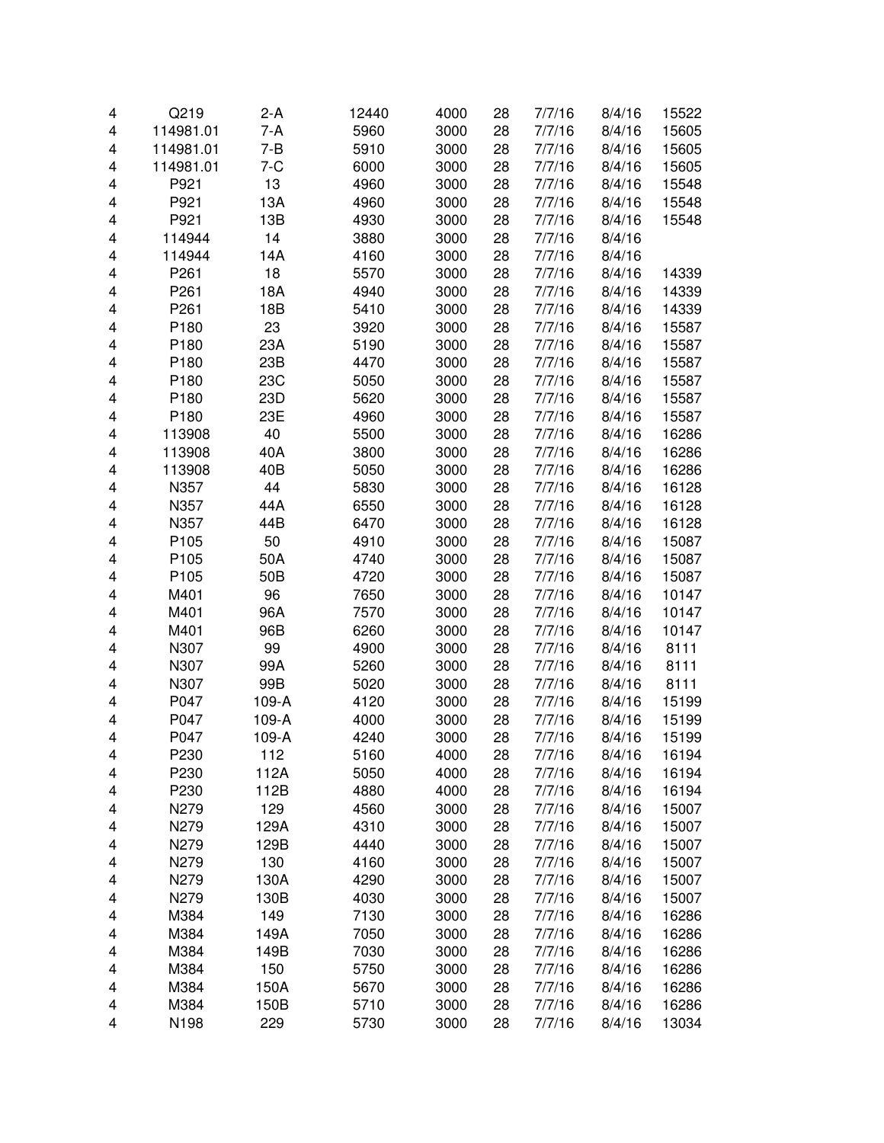| 4 | Q219             | $2-A$   | 12440 | 4000 | 28 | 7/7/16 | 8/4/16 | 15522 |
|---|------------------|---------|-------|------|----|--------|--------|-------|
| 4 | 114981.01        | 7-A     | 5960  | 3000 | 28 | 7/7/16 | 8/4/16 | 15605 |
| 4 | 114981.01        | $7 - B$ | 5910  | 3000 | 28 | 7/7/16 | 8/4/16 | 15605 |
| 4 | 114981.01        | $7 - C$ | 6000  | 3000 | 28 | 7/7/16 | 8/4/16 | 15605 |
| 4 | P921             | 13      | 4960  | 3000 | 28 | 7/7/16 | 8/4/16 | 15548 |
| 4 | P921             | 13A     | 4960  | 3000 | 28 | 7/7/16 | 8/4/16 | 15548 |
| 4 | P921             | 13B     | 4930  | 3000 | 28 | 7/7/16 | 8/4/16 | 15548 |
| 4 | 114944           | 14      | 3880  | 3000 | 28 | 7/7/16 | 8/4/16 |       |
| 4 | 114944           | 14A     | 4160  | 3000 | 28 | 7/7/16 | 8/4/16 |       |
| 4 | P261             | 18      | 5570  | 3000 | 28 | 7/7/16 | 8/4/16 | 14339 |
| 4 | P261             | 18A     | 4940  | 3000 | 28 | 7/7/16 | 8/4/16 | 14339 |
| 4 | P261             | 18B     | 5410  | 3000 | 28 | 7/7/16 | 8/4/16 | 14339 |
| 4 | P180             | 23      | 3920  | 3000 | 28 | 7/7/16 | 8/4/16 | 15587 |
| 4 | P180             | 23A     | 5190  | 3000 | 28 | 7/7/16 | 8/4/16 | 15587 |
| 4 | P180             | 23B     | 4470  | 3000 | 28 | 7/7/16 | 8/4/16 | 15587 |
| 4 | P180             | 23C     | 5050  | 3000 | 28 | 7/7/16 | 8/4/16 | 15587 |
| 4 | P180             | 23D     | 5620  | 3000 | 28 | 7/7/16 | 8/4/16 | 15587 |
| 4 | P180             | 23E     | 4960  | 3000 | 28 | 7/7/16 | 8/4/16 | 15587 |
| 4 | 113908           | 40      | 5500  | 3000 | 28 | 7/7/16 | 8/4/16 | 16286 |
| 4 | 113908           | 40A     | 3800  | 3000 | 28 | 7/7/16 | 8/4/16 | 16286 |
| 4 | 113908           | 40B     | 5050  | 3000 | 28 | 7/7/16 | 8/4/16 | 16286 |
| 4 | N357             | 44      | 5830  | 3000 | 28 | 7/7/16 | 8/4/16 | 16128 |
| 4 | N357             | 44A     | 6550  | 3000 | 28 | 7/7/16 | 8/4/16 | 16128 |
| 4 | N357             | 44B     | 6470  | 3000 | 28 | 7/7/16 | 8/4/16 | 16128 |
| 4 | P105             | 50      | 4910  | 3000 | 28 | 7/7/16 | 8/4/16 | 15087 |
| 4 | P105             | 50A     | 4740  | 3000 | 28 | 7/7/16 | 8/4/16 | 15087 |
| 4 | P105             | 50B     | 4720  | 3000 | 28 | 7/7/16 | 8/4/16 | 15087 |
| 4 | M401             | 96      | 7650  | 3000 | 28 | 7/7/16 | 8/4/16 | 10147 |
| 4 | M401             | 96A     | 7570  | 3000 | 28 | 7/7/16 | 8/4/16 | 10147 |
| 4 | M401             | 96B     | 6260  | 3000 | 28 | 7/7/16 | 8/4/16 | 10147 |
| 4 | N307             | 99      | 4900  | 3000 | 28 | 7/7/16 | 8/4/16 | 8111  |
| 4 | N307             | 99A     | 5260  | 3000 | 28 | 7/7/16 | 8/4/16 | 8111  |
| 4 | N307             | 99B     | 5020  | 3000 | 28 | 7/7/16 | 8/4/16 | 8111  |
| 4 | P047             | 109-A   | 4120  | 3000 | 28 | 7/7/16 | 8/4/16 | 15199 |
| 4 | P047             | 109-A   | 4000  | 3000 | 28 | 7/7/16 | 8/4/16 | 15199 |
| 4 | P047             | 109-A   | 4240  | 3000 | 28 | 7/7/16 | 8/4/16 | 15199 |
| 4 | P <sub>230</sub> | 112     | 5160  | 4000 | 28 | 7/7/16 | 8/4/16 | 16194 |
| 4 | P230             | 112A    | 5050  | 4000 | 28 | 7/7/16 | 8/4/16 | 16194 |
| 4 | P230             | 112B    | 4880  | 4000 | 28 | 7/7/16 | 8/4/16 | 16194 |
| 4 | N279             | 129     | 4560  | 3000 | 28 | 7/7/16 | 8/4/16 | 15007 |
| 4 | N279             | 129A    | 4310  | 3000 | 28 | 7/7/16 | 8/4/16 | 15007 |
| 4 | N279             | 129B    | 4440  | 3000 | 28 | 7/7/16 | 8/4/16 | 15007 |
| 4 | N279             | 130     | 4160  | 3000 | 28 | 7/7/16 | 8/4/16 | 15007 |
| 4 | N279             | 130A    | 4290  | 3000 | 28 | 7/7/16 | 8/4/16 | 15007 |
| 4 | N279             | 130B    | 4030  | 3000 | 28 | 7/7/16 | 8/4/16 | 15007 |
| 4 | M384             | 149     | 7130  | 3000 | 28 | 7/7/16 | 8/4/16 | 16286 |
| 4 | M384             | 149A    | 7050  | 3000 | 28 | 7/7/16 | 8/4/16 | 16286 |
| 4 | M384             | 149B    | 7030  | 3000 | 28 | 7/7/16 | 8/4/16 | 16286 |
| 4 | M384             | 150     | 5750  | 3000 | 28 | 7/7/16 | 8/4/16 | 16286 |
| 4 | M384             | 150A    | 5670  | 3000 | 28 | 7/7/16 | 8/4/16 | 16286 |
| 4 | M384             | 150B    | 5710  | 3000 | 28 | 7/7/16 | 8/4/16 | 16286 |
| 4 | N198             | 229     | 5730  | 3000 | 28 | 7/7/16 | 8/4/16 | 13034 |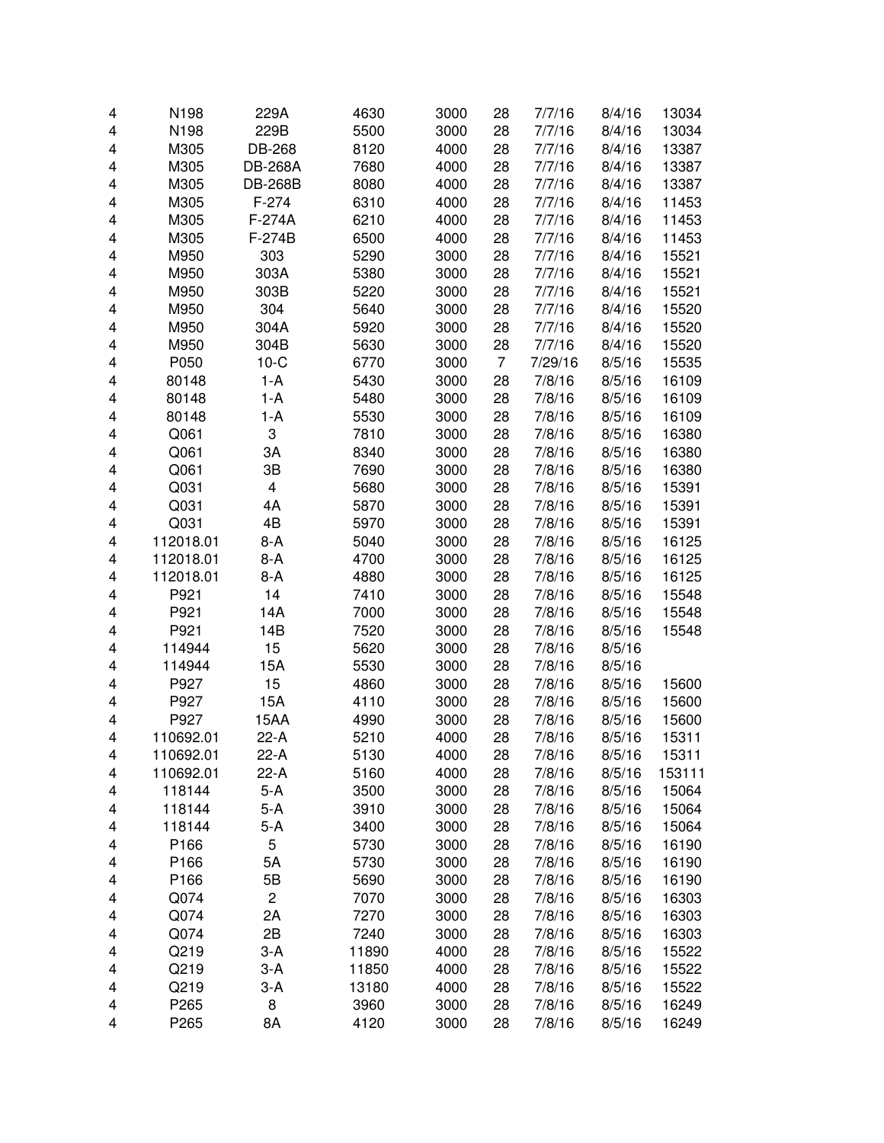| 4 | N198      | 229A                    | 4630  | 3000 | 28             | 7/7/16  | 8/4/16 | 13034  |
|---|-----------|-------------------------|-------|------|----------------|---------|--------|--------|
| 4 | N198      | 229B                    | 5500  | 3000 | 28             | 7/7/16  | 8/4/16 | 13034  |
| 4 | M305      | DB-268                  | 8120  | 4000 | 28             | 7/7/16  | 8/4/16 | 13387  |
| 4 | M305      | <b>DB-268A</b>          | 7680  | 4000 | 28             | 7/7/16  | 8/4/16 | 13387  |
| 4 | M305      | <b>DB-268B</b>          | 8080  | 4000 | 28             | 7/7/16  | 8/4/16 | 13387  |
| 4 | M305      | $F-274$                 | 6310  | 4000 | 28             | 7/7/16  | 8/4/16 | 11453  |
| 4 | M305      | F-274A                  | 6210  | 4000 | 28             | 7/7/16  | 8/4/16 | 11453  |
| 4 | M305      | F-274B                  | 6500  | 4000 | 28             | 7/7/16  | 8/4/16 | 11453  |
| 4 | M950      | 303                     | 5290  | 3000 | 28             | 7/7/16  | 8/4/16 | 15521  |
| 4 | M950      | 303A                    | 5380  | 3000 | 28             | 7/7/16  | 8/4/16 | 15521  |
| 4 | M950      | 303B                    | 5220  | 3000 | 28             | 7/7/16  | 8/4/16 | 15521  |
| 4 | M950      | 304                     | 5640  | 3000 | 28             | 7/7/16  | 8/4/16 | 15520  |
| 4 | M950      | 304A                    | 5920  | 3000 | 28             | 7/7/16  | 8/4/16 | 15520  |
| 4 | M950      | 304B                    | 5630  | 3000 | 28             | 7/7/16  | 8/4/16 | 15520  |
| 4 | P050      | $10-C$                  | 6770  | 3000 | $\overline{7}$ | 7/29/16 | 8/5/16 | 15535  |
| 4 | 80148     | $1-A$                   | 5430  | 3000 | 28             | 7/8/16  | 8/5/16 | 16109  |
| 4 | 80148     | 1-A                     | 5480  | 3000 | 28             | 7/8/16  | 8/5/16 | 16109  |
| 4 | 80148     | $1-A$                   | 5530  | 3000 | 28             | 7/8/16  | 8/5/16 | 16109  |
| 4 | Q061      | 3                       | 7810  | 3000 | 28             | 7/8/16  | 8/5/16 | 16380  |
| 4 | Q061      | ЗA                      | 8340  | 3000 | 28             | 7/8/16  | 8/5/16 | 16380  |
| 4 | Q061      | 3B                      | 7690  | 3000 | 28             | 7/8/16  | 8/5/16 | 16380  |
| 4 | Q031      | $\overline{\mathbf{4}}$ | 5680  | 3000 | 28             | 7/8/16  | 8/5/16 | 15391  |
| 4 | Q031      | 4A                      | 5870  | 3000 | 28             | 7/8/16  | 8/5/16 | 15391  |
| 4 | Q031      | 4B                      | 5970  | 3000 | 28             | 7/8/16  | 8/5/16 | 15391  |
| 4 | 112018.01 | 8-A                     | 5040  | 3000 | 28             | 7/8/16  | 8/5/16 | 16125  |
| 4 | 112018.01 | 8-A                     | 4700  | 3000 | 28             | 7/8/16  | 8/5/16 | 16125  |
| 4 | 112018.01 | $8-A$                   | 4880  | 3000 | 28             | 7/8/16  | 8/5/16 | 16125  |
| 4 | P921      | 14                      | 7410  | 3000 | 28             | 7/8/16  | 8/5/16 | 15548  |
| 4 | P921      | 14A                     | 7000  | 3000 | 28             | 7/8/16  | 8/5/16 | 15548  |
| 4 | P921      | 14B                     | 7520  | 3000 | 28             | 7/8/16  | 8/5/16 | 15548  |
| 4 | 114944    | 15                      | 5620  | 3000 | 28             | 7/8/16  | 8/5/16 |        |
| 4 | 114944    | 15A                     | 5530  | 3000 | 28             | 7/8/16  | 8/5/16 |        |
| 4 | P927      | 15                      | 4860  | 3000 | 28             | 7/8/16  | 8/5/16 | 15600  |
| 4 | P927      | 15A                     | 4110  | 3000 | 28             | 7/8/16  | 8/5/16 | 15600  |
| 4 | P927      | 15AA                    | 4990  | 3000 | 28             | 7/8/16  | 8/5/16 | 15600  |
| 4 | 110692.01 | $22-A$                  | 5210  | 4000 | 28             | 7/8/16  | 8/5/16 | 15311  |
| 4 | 110692.01 | 22-A                    | 5130  | 4000 | 28             | 7/8/16  | 8/5/16 | 15311  |
| 4 | 110692.01 | 22-A                    | 5160  | 4000 | 28             | 7/8/16  | 8/5/16 | 153111 |
| 4 | 118144    | 5-A                     | 3500  | 3000 | 28             | 7/8/16  | 8/5/16 | 15064  |
| 4 | 118144    | 5-A                     | 3910  | 3000 | 28             | 7/8/16  | 8/5/16 | 15064  |
| 4 | 118144    | $5-A$                   | 3400  | 3000 | 28             | 7/8/16  | 8/5/16 | 15064  |
| 4 | P166      | 5                       | 5730  | 3000 | 28             | 7/8/16  | 8/5/16 | 16190  |
| 4 | P166      | 5A                      | 5730  | 3000 | 28             | 7/8/16  | 8/5/16 | 16190  |
| 4 | P166      | 5B                      | 5690  | 3000 | 28             | 7/8/16  | 8/5/16 | 16190  |
| 4 | Q074      | $\overline{c}$          | 7070  | 3000 | 28             | 7/8/16  | 8/5/16 | 16303  |
| 4 | Q074      | 2A                      | 7270  | 3000 | 28             | 7/8/16  | 8/5/16 | 16303  |
| 4 | Q074      | 2B                      | 7240  | 3000 | 28             | 7/8/16  | 8/5/16 | 16303  |
| 4 | Q219      | $3-A$                   | 11890 | 4000 | 28             | 7/8/16  | 8/5/16 | 15522  |
| 4 | Q219      | $3-A$                   | 11850 | 4000 | 28             | 7/8/16  | 8/5/16 | 15522  |
| 4 | Q219      | $3-A$                   | 13180 | 4000 | 28             | 7/8/16  | 8/5/16 | 15522  |
| 4 | P265      | 8                       | 3960  | 3000 | 28             | 7/8/16  | 8/5/16 | 16249  |
| 4 | P265      | 8A                      | 4120  | 3000 | 28             | 7/8/16  | 8/5/16 | 16249  |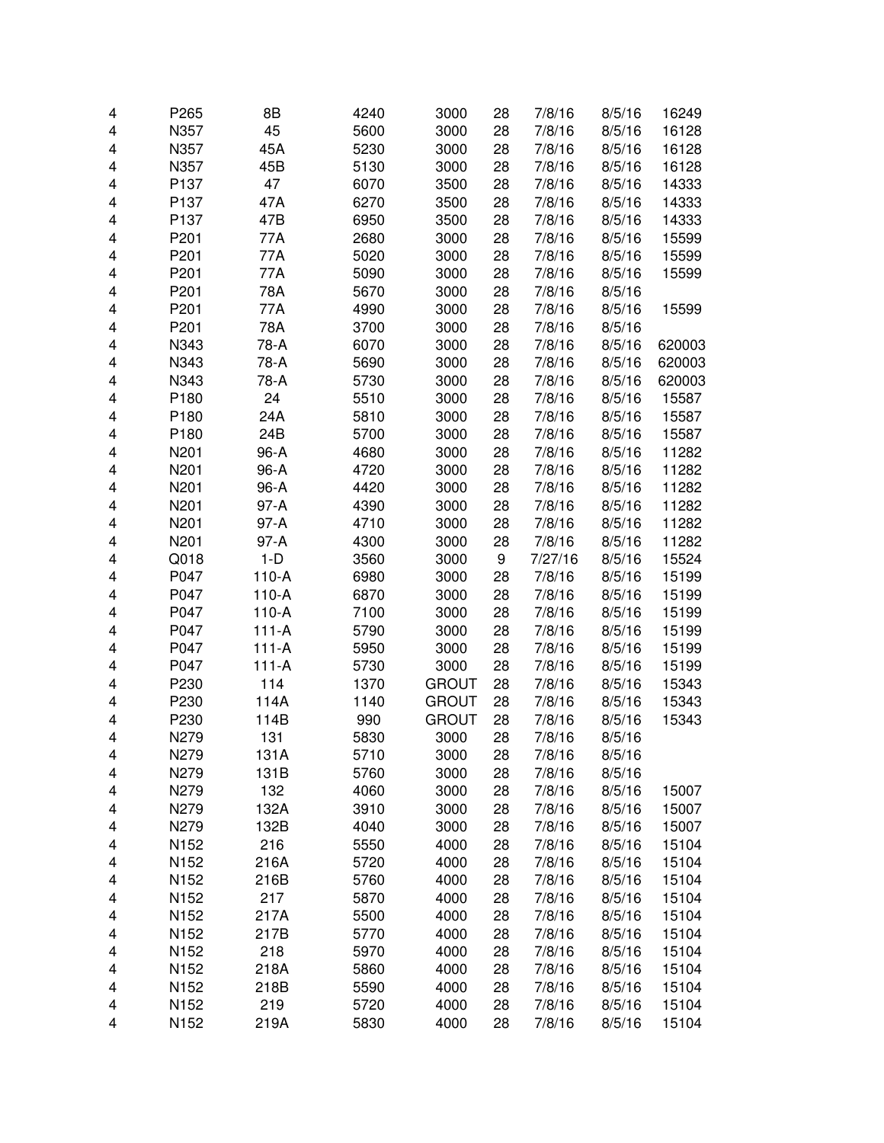| 4 | P265             | 8B          | 4240         | 3000         | 28       | 7/8/16           | 8/5/16           | 16249  |
|---|------------------|-------------|--------------|--------------|----------|------------------|------------------|--------|
| 4 | N357             | 45          | 5600         | 3000         | 28       | 7/8/16           | 8/5/16           | 16128  |
| 4 | N357             | 45A         | 5230         | 3000         | 28       | 7/8/16           | 8/5/16           | 16128  |
| 4 | N357             | 45B         | 5130         | 3000         | 28       | 7/8/16           | 8/5/16           | 16128  |
| 4 | P137             | 47          | 6070         | 3500         | 28       | 7/8/16           | 8/5/16           | 14333  |
| 4 | P137             | 47A         | 6270         | 3500         | 28       | 7/8/16           | 8/5/16           | 14333  |
| 4 | P <sub>137</sub> | 47B         | 6950         | 3500         | 28       | 7/8/16           | 8/5/16           | 14333  |
| 4 | P201             | 77A         | 2680         | 3000         | 28       | 7/8/16           | 8/5/16           | 15599  |
| 4 | P201             | 77A         | 5020         | 3000         | 28       | 7/8/16           | 8/5/16           | 15599  |
| 4 | P201             | 77A         | 5090         | 3000         | 28       | 7/8/16           | 8/5/16           | 15599  |
| 4 | P201             | 78A         | 5670         | 3000         | 28       | 7/8/16           | 8/5/16           |        |
| 4 | P201             | 77A         | 4990         | 3000         | 28       | 7/8/16           | 8/5/16           | 15599  |
| 4 | P201             | 78A         | 3700         | 3000         | 28       | 7/8/16           | 8/5/16           |        |
| 4 | N343             | 78-A        | 6070         | 3000         | 28       | 7/8/16           | 8/5/16           | 620003 |
| 4 | N343             | 78-A        | 5690         | 3000         | 28       | 7/8/16           | 8/5/16           | 620003 |
| 4 | N343             | 78-A        | 5730         | 3000         | 28       | 7/8/16           | 8/5/16           | 620003 |
| 4 | P180             | 24          | 5510         | 3000         | 28       | 7/8/16           | 8/5/16           | 15587  |
| 4 | P180             | 24A         | 5810         | 3000         | 28       | 7/8/16           | 8/5/16           | 15587  |
| 4 | P <sub>180</sub> | 24B         | 5700         | 3000         | 28       | 7/8/16           | 8/5/16           | 15587  |
| 4 | N201             | 96-A        | 4680         | 3000         | 28       | 7/8/16           | 8/5/16           | 11282  |
| 4 | N201             | 96-A        | 4720         | 3000         | 28       | 7/8/16           | 8/5/16           | 11282  |
| 4 | N201             | 96-A        | 4420         | 3000         | 28       | 7/8/16           | 8/5/16           | 11282  |
| 4 | N201             | $97-A$      | 4390         | 3000         | 28       | 7/8/16           | 8/5/16           | 11282  |
| 4 | N201             | 97-A        | 4710         | 3000         | 28       | 7/8/16           | 8/5/16           | 11282  |
| 4 | N201             | 97-A        | 4300         | 3000         | 28       | 7/8/16           | 8/5/16           | 11282  |
| 4 | Q018             | $1-D$       | 3560         | 3000         | 9        | 7/27/16          | 8/5/16           | 15524  |
| 4 | P047             | $110-A$     | 6980         | 3000         | 28       | 7/8/16           | 8/5/16           | 15199  |
| 4 | P047             | $110-A$     | 6870         | 3000         | 28       | 7/8/16           | 8/5/16           | 15199  |
| 4 | P047             | $110-A$     | 7100         | 3000         | 28       | 7/8/16           | 8/5/16           | 15199  |
| 4 | P047             | $111-A$     | 5790         | 3000         | 28       | 7/8/16           | 8/5/16           | 15199  |
| 4 | P047             | $111-A$     | 5950         | 3000         | 28       | 7/8/16           | 8/5/16           | 15199  |
| 4 | P047             | $111-A$     | 5730         | 3000         | 28       | 7/8/16           | 8/5/16           | 15199  |
| 4 | P230             | 114         | 1370         | <b>GROUT</b> | 28       | 7/8/16           | 8/5/16           | 15343  |
| 4 | P230             | 114A        | 1140         | <b>GROUT</b> | 28       | 7/8/16           | 8/5/16           | 15343  |
| 4 | P230             | 114B        | 990          | <b>GROUT</b> | 28       | 7/8/16           | 8/5/16           | 15343  |
| 4 | N279             | 131         | 5830         | 3000         | 28       | 7/8/16           | 8/5/16           |        |
|   |                  | 131A        | 5710         | 3000         |          |                  |                  |        |
| 4 | N279<br>N279     | 131B        | 5760         | 3000         | 28<br>28 | 7/8/16<br>7/8/16 | 8/5/16<br>8/5/16 |        |
| 4 | N279             | 132         | 4060         | 3000         | 28       | 7/8/16           | 8/5/16           | 15007  |
| 4 | N279             | 132A        |              | 3000         | 28       |                  |                  | 15007  |
| 4 | N279             | 132B        | 3910<br>4040 | 3000         | 28       | 7/8/16           | 8/5/16<br>8/5/16 | 15007  |
| 4 |                  |             | 5550         |              |          | 7/8/16           |                  |        |
| 4 | N152<br>N152     | 216<br>216A |              | 4000         | 28       | 7/8/16           | 8/5/16           | 15104  |
| 4 |                  |             | 5720         | 4000         | 28       | 7/8/16           | 8/5/16           | 15104  |
| 4 | N <sub>152</sub> | 216B        | 5760         | 4000         | 28       | 7/8/16           | 8/5/16           | 15104  |
| 4 | N152             | 217         | 5870         | 4000         | 28       | 7/8/16           | 8/5/16           | 15104  |
| 4 | N152             | 217A        | 5500         | 4000         | 28       | 7/8/16           | 8/5/16           | 15104  |
| 4 | N152             | 217B        | 5770         | 4000         | 28       | 7/8/16           | 8/5/16           | 15104  |
| 4 | N152             | 218         | 5970         | 4000         | 28       | 7/8/16           | 8/5/16           | 15104  |
| 4 | N152             | 218A        | 5860         | 4000         | 28       | 7/8/16           | 8/5/16           | 15104  |
| 4 | N152             | 218B        | 5590         | 4000         | 28       | 7/8/16           | 8/5/16           | 15104  |
| 4 | N152             | 219         | 5720         | 4000         | 28       | 7/8/16           | 8/5/16           | 15104  |
| 4 | N152             | 219A        | 5830         | 4000         | 28       | 7/8/16           | 8/5/16           | 15104  |